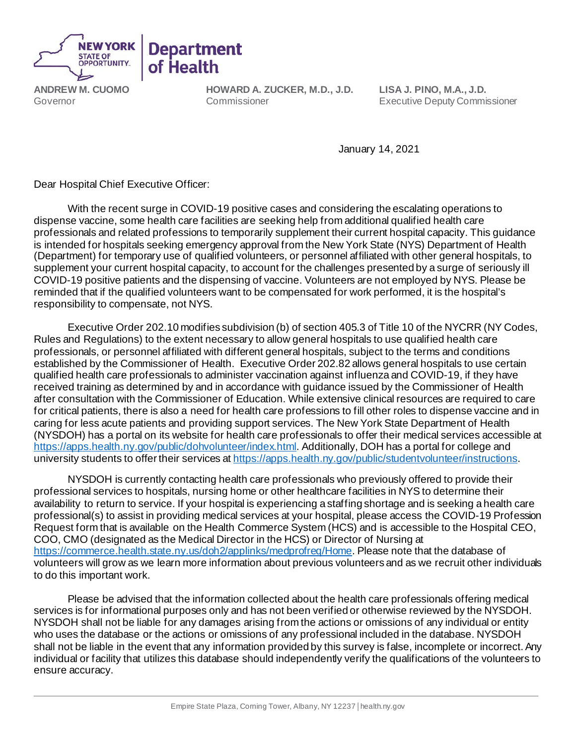

**ANDREW M. CUOMO** Governor

**HOWARD A. ZUCKER, M.D., J.D.** Commissioner

**Department** 

of Health

**LISA J. PINO, M.A., J.D.**  Executive Deputy Commissioner

January 14, 2021

Dear Hospital Chief Executive Officer:

With the recent surge in COVID-19 positive cases and considering the escalating operations to dispense vaccine, some health care facilities are seeking help from additional qualified health care professionals and related professions to temporarily supplement their current hospital capacity. This guidance is intended for hospitals seeking emergency approval from the New York State (NYS) Department of Health (Department) for temporary use of qualified volunteers, or personnel affiliated with other general hospitals, to supplement your current hospital capacity, to account for the challenges presented by a surge of seriously ill COVID-19 positive patients and the dispensing of vaccine. Volunteers are not employed by NYS. Please be reminded that if the qualified volunteers want to be compensated for work performed, it is the hospital's responsibility to compensate, not NYS.

Executive Order 202.10 modifies subdivision (b) of section 405.3 of Title 10 of the NYCRR (NY Codes, Rules and Regulations) to the extent necessary to allow general hospitals to use qualified health care professionals, or personnel affiliated with different general hospitals, subject to the terms and conditions established by the Commissioner of Health. Executive Order 202.82 allows general hospitals to use certain qualified health care professionals to administer vaccination against influenza and COVID-19, if they have received training as determined by and in accordance with guidance issued by the Commissioner of Health after consultation with the Commissioner of Education. While extensive clinical resources are required to care for critical patients, there is also a need for health care professions to fill other roles to dispense vaccine and in caring for less acute patients and providing support services. The New York State Department of Health (NYSDOH) has a portal on its website for health care professionals to offer their medical services accessible at <https://apps.health.ny.gov/public/dohvolunteer/index.html>. Additionally, DOH has a portal for college and university students to offer their services a[t https://apps.health.ny.gov/public/studentvolunteer/instructions](https://apps.health.ny.gov/public/studentvolunteer/instructions).

NYSDOH is currently contacting health care professionals who previously offered to provide their professional services to hospitals, nursing home or other healthcare facilities in NYS to determine their availability to return to service. If your hospital is experiencing a staffing shortage and is seeking a health care professional(s) to assist in providing medical services at your hospital, please access the COVID-19 Profession Request form that is available on the Health Commerce System (HCS) and is accessible to the Hospital CEO, COO, CMO (designated as the Medical Director in the HCS) or Director of Nursing at [https://commerce.health.state.ny.us/doh2/applinks/medprofreq/Home.](https://commerce.health.state.ny.us/doh2/applinks/medprofreq/Home) Please note that the database of volunteers will grow as we learn more information about previous volunteers and as we recruit other individuals to do this important work.

Please be advised that the information collected about the health care professionals offering medical services is for informational purposes only and has not been verified or otherwise reviewed by the NYSDOH. NYSDOH shall not be liable for any damages arising from the actions or omissions of any individual or entity who uses the database or the actions or omissions of any professional included in the database. NYSDOH shall not be liable in the event that any information provided by this survey is false, incomplete or incorrect.Any individual or facility that utilizes this database should independently verify the qualifications of the volunteers to ensure accuracy.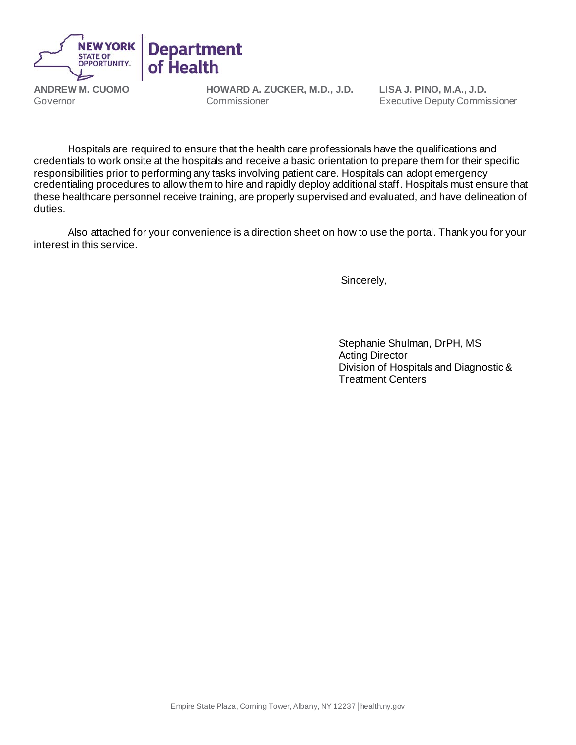

**ANDREW M. CUOMO** Governor

**HOWARD A. ZUCKER, M.D., J.D.** Commissioner

**LISA J. PINO, M.A., J.D.**  Executive Deputy Commissioner

Hospitals are required to ensure that the health care professionals have the qualifications and credentials to work onsite at the hospitals and receive a basic orientation to prepare them for their specific responsibilities prior to performing any tasks involving patient care. Hospitals can adopt emergency credentialing procedures to allow them to hire and rapidly deploy additional staff. Hospitals must ensure that these healthcare personnel receive training, are properly supervised and evaluated, and have delineation of duties.

Also attached for your convenience is a direction sheet on how to use the portal. Thank you for your interest in this service.

Sincerely,

Stephanie Shulman, DrPH, MS Acting Director Division of Hospitals and Diagnostic & Treatment Centers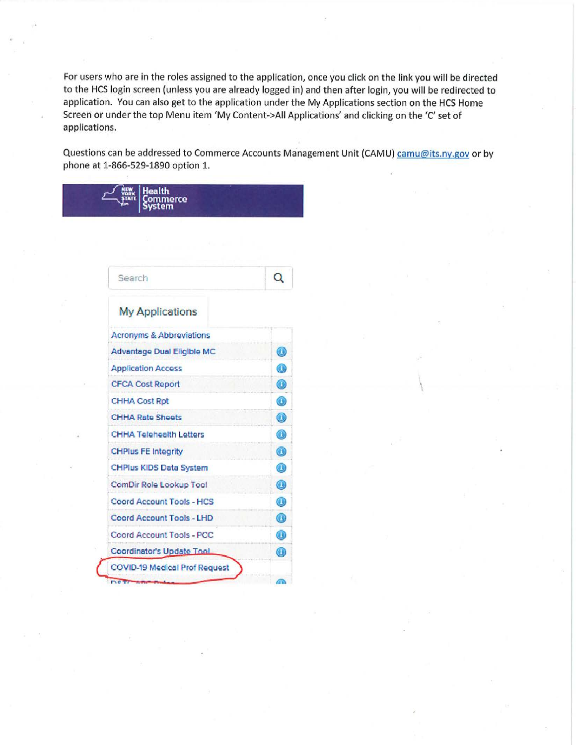For users who are in the roles assigned to the application, once you click on the link you will be directed to the HCS login screen (unless you are already logged in) and then after login, you will be redirected to application. You can also get to the application under the My Applications section on the HCS Home Screen or under the top Menu item 'My Content->All Applications' and clicking on the 'C' set of applications.

Questions can be addressed to Commerce Accounts Management Unit (CAMU) camu@its.ny.gov or by phone at 1-866-529-1890 option 1.

| Search                         | Q              |
|--------------------------------|----------------|
| <b>My Applications</b>         |                |
| Acronyms & Abbreviations       |                |
| Advantage Dual Eligible MC     | $\odot$        |
| <b>Application Access</b>      | $\circledcirc$ |
| <b>CFCA Cost Report</b>        | $\circledcirc$ |
| <b>CHHA Cost Rpt</b>           | $\bullet$      |
| <b>CHHA Rate Sheets</b>        | $\circledcirc$ |
| <b>CHHA Telehealth Letters</b> | $\circledcirc$ |
| <b>CHPlus FE Integrity</b>     | $\bigcirc$     |
| CHPlus KIDS Data System        | $\circledcirc$ |
| ComDir Role Lookup Tool        | $\circledcirc$ |
| Coord Account Tools - HCS      | $\odot$        |
| Coord Account Tools - LHD      | $\circledcirc$ |
| Coord Account Tools - PCC      | $\circledcirc$ |
| Coordinator's Update Tool      | $\circledcirc$ |

lealth .<br>ommerce<br>ystem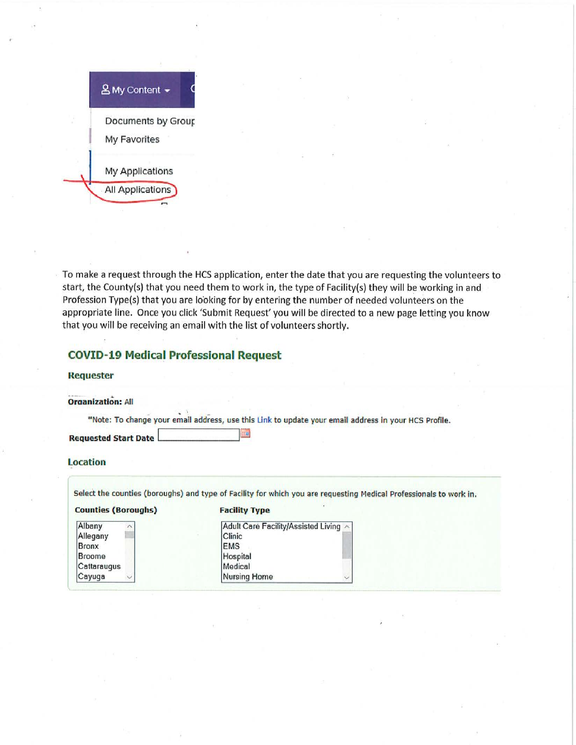

To make a request through the HCS application, enter the date that you are requesting the volunteers to start, the County(s) that you need them to work in, the type of Facility(s) they will be working in and Profession Type(s) that you are looking for by entering the number of needed volunteers on the appropriate line. Once you click 'Submit Request' you will be directed to a new page letting you know that you will be receiving an email with the list of volunteers shortly.

## **COVID-19 Medical Professional Request**

#### **Requester**

**Organization: All** 

\*Note: To change your email address, use this Link to update your email address in your HCS Profile.

**Requested Start Date** 

#### **Location**

Albany Allegany Bronx Broome Cattaraugus Cayuga

Select the counties (boroughs) and type of Facility for which you are requesting Medical Professionals to work in.

### **Counties (Boroughs)**

|  |  | <b>Facility Type</b> |
|--|--|----------------------|
|--|--|----------------------|

**THE** 

| Adult Care Facility/Assisted Living |  |
|-------------------------------------|--|
| Clinic                              |  |
| <b>IEMS</b>                         |  |
| Hospital                            |  |
| Medical                             |  |
| Nursing Home                        |  |